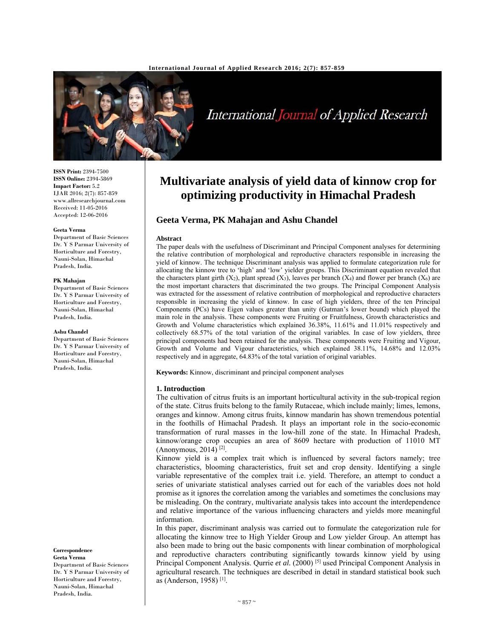

# International Journal of Applied Research

**ISSN Print:** 2394-7500 **ISSN Online:** 2394-5869 **Impact Factor:** 5.2 IJAR 2016; 2(7): 857-859 www.allresearchjournal.com Received: 11-05-2016 Accepted: 12-06-2016

### **Geeta Verma**

Department of Basic Sciences Dr. Y S Parmar University of Horticulture and Forestry, Nauni-Solan, Himachal Pradesh, India.

#### **PK Mahajan**

Department of Basic Sciences Dr. Y S Parmar University of Horticulture and Forestry, Nauni-Solan, Himachal Pradesh, India.

### **Ashu Chandel**

Department of Basic Sciences Dr. Y S Parmar University of Horticulture and Forestry, Nauni-Solan, Himachal Pradesh, India.

**Correspondence Geeta Verma** 

Department of Basic Sciences Dr. Y S Parmar University of Horticulture and Forestry, Nauni-Solan, Himachal Pradesh, India.

# **Multivariate analysis of yield data of kinnow crop for optimizing productivity in Himachal Pradesh**

# **Geeta Verma, PK Mahajan and Ashu Chandel**

### **Abstract**

The paper deals with the usefulness of Discriminant and Principal Component analyses for determining the relative contribution of morphological and reproductive characters responsible in increasing the yield of kinnow. The technique Discriminant analysis was applied to formulate categorization rule for allocating the kinnow tree to 'high' and 'low' yielder groups. This Discriminant equation revealed that the characters plant girth  $(X_2)$ , plant spread  $(X_3)$ , leaves per branch  $(X_4)$  and flower per branch  $(X_6)$  are the most important characters that discriminated the two groups. The Principal Component Analysis was extracted for the assessment of relative contribution of morphological and reproductive characters responsible in increasing the yield of kinnow. In case of high yielders, three of the ten Principal Components (PCs) have Eigen values greater than unity (Gutman's lower bound) which played the main role in the analysis. These components were Fruiting or Fruitfulness, Growth characteristics and Growth and Volume characteristics which explained 36.38%, 11.61% and 11.01% respectively and collectively 68.57% of the total variation of the original variables. In case of low yielders, three principal components had been retained for the analysis. These components were Fruiting and Vigour, Growth and Volume and Vigour characteristics, which explained 38.11%, 14.68% and 12.03% respectively and in aggregate, 64.83% of the total variation of original variables.

**Keywords:** Kinnow, discriminant and principal component analyses

### **1. Introduction**

The cultivation of citrus fruits is an important horticultural activity in the sub-tropical region of the state. Citrus fruits belong to the family Rutaceae, which include mainly; limes, lemons, oranges and kinnow. Among citrus fruits, kinnow mandarin has shown tremendous potential in the foothills of Himachal Pradesh. It plays an important role in the socio-economic transformation of rural masses in the low-hill zone of the state. In Himachal Pradesh, kinnow/orange crop occupies an area of 8609 hectare with production of 11010 MT (Anonymous, 2014)<sup>[2]</sup>.

Kinnow yield is a complex trait which is influenced by several factors namely; tree characteristics, blooming characteristics, fruit set and crop density. Identifying a single variable representative of the complex trait i.e. yield. Therefore, an attempt to conduct a series of univariate statistical analyses carried out for each of the variables does not hold promise as it ignores the correlation among the variables and sometimes the conclusions may be misleading. On the contrary, multivariate analysis takes into account the interdependence and relative importance of the various influencing characters and yields more meaningful information.

In this paper, discriminant analysis was carried out to formulate the categorization rule for allocating the kinnow tree to High Yielder Group and Low yielder Group. An attempt has also been made to bring out the basic components with linear combination of morphological and reproductive characters contributing significantly towards kinnow yield by using Principal Component Analysis. Qurrie et al. (2000)<sup>[5]</sup> used Principal Component Analysis in agricultural research. The techniques are described in detail in standard statistical book such as (Anderson, 1958) [1].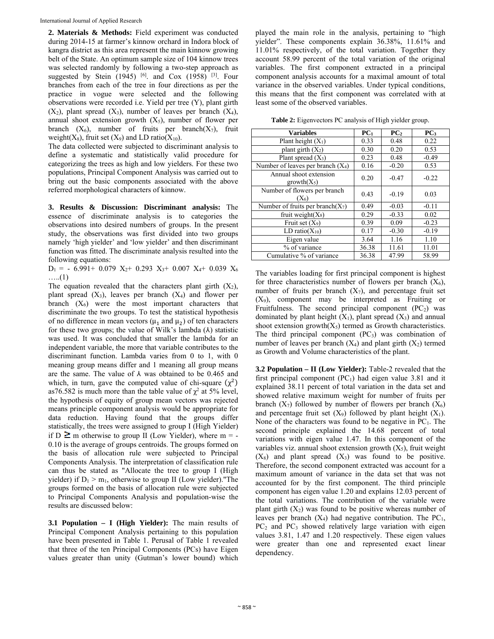**2. Materials & Methods:** Field experiment was conducted during 2014-15 at farmer's kinnow orchard in Indora block of kangra district as this area represent the main kinnow growing belt of the State. An optimum sample size of 104 kinnow trees was selected randomly by following a two-step approach as suggested by Stein (1945) <sup>[6]</sup>. and Cox (1958) <sup>[3]</sup>. Four branches from each of the tree in four directions as per the practice in vogue were selected and the following observations were recorded i.e. Yield per tree (Y), plant girth  $(X_2)$ , plant spread  $(X_3)$ , number of leaves per branch  $(X_4)$ , annual shoot extension growth  $(X_5)$ , number of flower per branch  $(X_6)$ , number of fruits per branch $(X_7)$ , fruit weight( $X_8$ ), fruit set ( $X_9$ ) and LD ratio( $X_{10}$ ).

The data collected were subjected to discriminant analysis to define a systematic and statistically valid procedure for categorizing the trees as high and low yielders. For these two populations, Principal Component Analysis was carried out to bring out the basic components associated with the above referred morphological characters of kinnow.

**3. Results & Discussion: Discriminant analysis:** The essence of discriminate analysis is to categories the observations into desired numbers of groups. In the present study, the observations was first divided into two groups namely 'high yielder' and 'low yielder' and then discriminant function was fitted. The discriminate analysis resulted into the following equations:

 $D_1$  = - 6.991+ 0.079  $X_2$ + 0.293  $X_3$ + 0.007  $X_4$ + 0.039  $X_6$  $\dots(1)$ 

The equation revealed that the characters plant girth  $(X_2)$ , plant spread  $(X_3)$ , leaves per branch  $(X_4)$  and flower per branch  $(X_6)$  were the most important characters that discriminate the two groups. To test the statistical hypothesis of no difference in mean vectors ( $\mu_1$  and  $\mu_2$ ) of ten characters for these two groups; the value of Wilk's lambda  $(\lambda)$  statistic was used. It was concluded that smaller the lambda for an independent variable, the more that variable contributes to the discriminant function. Lambda varies from 0 to 1, with 0 meaning group means differ and 1 meaning all group means are the same. The value of  $\lambda$  was obtained to be 0.465 and which, in turn, gave the computed value of chi-square  $(\chi^2)$ as76.582 is much more than the table value of  $\chi^2$  at 5% level, the hypothesis of equity of group mean vectors was rejected means principle component analysis would be appropriate for data reduction. Having found that the groups differ statistically, the trees were assigned to group I (High Yielder) if  $D \ge m$  otherwise to group II (Low Yielder), where  $m = -1$ 0.10 is the average of groups centroids. The groups formed on the basis of allocation rule were subjected to Principal Components Analysis. The interpretation of classification rule can thus be stated as "Allocate the tree to group I (High yielder) if  $D_1 > m_1$ , otherwise to group II (Low yielder). The groups formed on the basis of allocation rule were subjected to Principal Components Analysis and population-wise the results are discussed below:

**3.1 Population – I (High Yielder):** The main results of Principal Component Analysis pertaining to this population have been presented in Table 1. Perusal of Table 1 revealed that three of the ten Principal Components (PCs) have Eigen values greater than unity (Gutman's lower bound) which

played the main role in the analysis, pertaining to "high yielder". These components explain 36.38%, 11.61% and 11.01% respectively, of the total variation. Together they account 58.99 percent of the total variation of the original variables. The first component extracted in a principal component analysis accounts for a maximal amount of total variance in the observed variables. Under typical conditions, this means that the first component was correlated with at least some of the observed variables.

**Table 2:** Eigenvectors PC analysis of High yielder group.

| <b>Variables</b>                     | PC <sub>1</sub> | PC <sub>2</sub> | PC <sub>3</sub> |  |
|--------------------------------------|-----------------|-----------------|-----------------|--|
| Plant height $(X_1)$                 | 0.33            | 0.48            | 0.22            |  |
| plant girth $(X_2)$                  | 0.30            | 0.20            | 0.53            |  |
| Plant spread $(X_3)$                 | 0.23            | 0.48            | $-0.49$         |  |
| Number of leaves per branch $(X_4)$  | 0.16            | $-0.20$         | 0.53            |  |
| Annual shoot extension               | 0.20            | $-0.47$         | $-0.22$         |  |
| $growth(X_5)$                        |                 |                 |                 |  |
| Number of flowers per branch         | 0.43            | $-0.19$         | 0.03            |  |
| $(X_6)$                              |                 |                 |                 |  |
| Number of fruits per branch( $X_7$ ) | 0.49            | $-0.03$         | $-0.11$         |  |
| fruit weight $(X_8)$                 | 0.29            | $-0.33$         | 0.02            |  |
| Fruit set $(X_9)$                    | 0.39            | 0.09            | $-0.23$         |  |
| LD ratio $(X_{10})$                  | 0.17            | $-0.30$         | $-0.19$         |  |
| Eigen value                          | 3.64            | 1.16            | 1.10            |  |
| % of variance                        | 36.38           | 11.61           | 11.01           |  |
| Cumulative % of variance             | 36.38           | 47.99           | 58.99           |  |

The variables loading for first principal component is highest for three characteristics number of flowers per branch  $(X_6)$ , number of fruits per branch  $(X_7)$ , and percentage fruit set (X9), component may be interpreted as Fruiting or Fruitfulness. The second principal component  $(PC<sub>2</sub>)$  was dominated by plant height  $(X_1)$ , plant spread  $(X_3)$  and annual shoot extension growth $(X_5)$  termed as Growth characteristics. The third principal component  $(PC_3)$  was combination of number of leaves per branch  $(X_4)$  and plant girth  $(X_2)$  termed as Growth and Volume characteristics of the plant.

**3.2 Population – II (Low Yielder):** Table-2 revealed that the first principal component  $(PC_1)$  had eigen value 3.81 and it explained 38.11 percent of total variation in the data set and showed relative maximum weight for number of fruits per branch  $(X_7)$  followed by number of flowers per branch  $(X_6)$ and percentage fruit set  $(X_9)$  followed by plant height  $(X_1)$ . None of the characters was found to be negative in  $PC_1$ . The second principle explained the 14.68 percent of total variations with eigen value 1.47. In this component of the variables viz. annual shoot extension growth  $(X_5)$ , fruit weight  $(X_8)$  and plant spread  $(X_3)$  was found to be positive. Therefore, the second component extracted was account for a maximum amount of variance in the data set that was not accounted for by the first component. The third principle component has eigen value 1.20 and explains 12.03 percent of the total variations. The contribution of the variable were plant girth  $(X_2)$  was found to be positive whereas number of leaves per branch  $(X_4)$  had negative contribution. The PC<sub>1</sub>,  $PC<sub>2</sub>$  and  $PC<sub>3</sub>$  showed relatively large variation with eigen values 3.81, 1.47 and 1.20 respectively. These eigen values were greater than one and represented exact linear dependency.